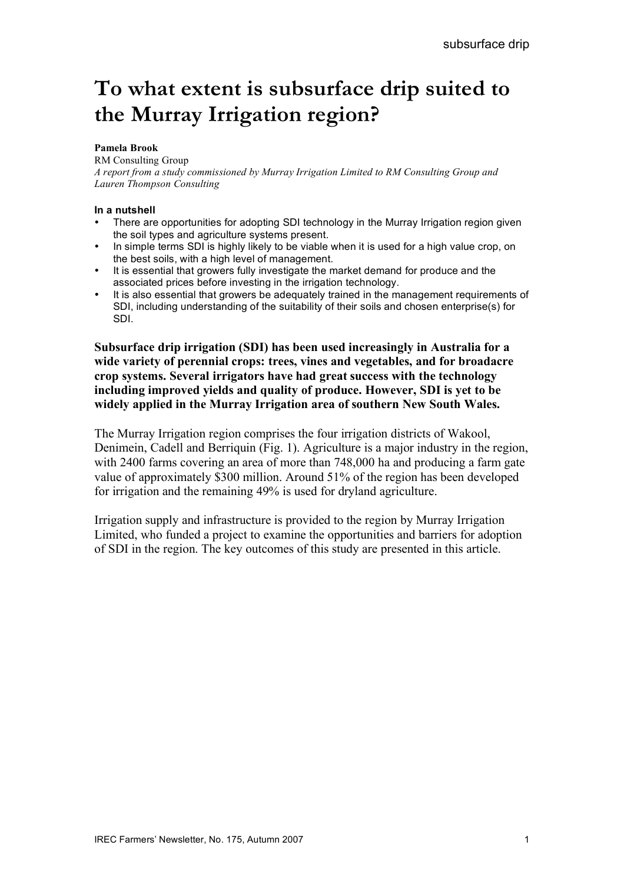# **To what extent is subsurface drip suited to the Murray Irrigation region?**

#### **Pamela Brook**

#### RM Consulting Group

*A report from a study commissioned by Murray Irrigation Limited to RM Consulting Group and Lauren Thompson Consulting*

#### **In a nutshell**

- There are opportunities for adopting SDI technology in the Murray Irrigation region given the soil types and agriculture systems present.
- In simple terms SDI is highly likely to be viable when it is used for a high value crop, on the best soils, with a high level of management.
- It is essential that growers fully investigate the market demand for produce and the associated prices before investing in the irrigation technology.
- It is also essential that growers be adequately trained in the management requirements of SDI, including understanding of the suitability of their soils and chosen enterprise(s) for SDI.

**Subsurface drip irrigation (SDI) has been used increasingly in Australia for a wide variety of perennial crops: trees, vines and vegetables, and for broadacre crop systems. Several irrigators have had great success with the technology including improved yields and quality of produce. However, SDI is yet to be widely applied in the Murray Irrigation area of southern New South Wales.**

The Murray Irrigation region comprises the four irrigation districts of Wakool, Denimein, Cadell and Berriquin (Fig. 1). Agriculture is a major industry in the region, with 2400 farms covering an area of more than 748,000 ha and producing a farm gate value of approximately \$300 million. Around 51% of the region has been developed for irrigation and the remaining 49% is used for dryland agriculture.

Irrigation supply and infrastructure is provided to the region by Murray Irrigation Limited, who funded a project to examine the opportunities and barriers for adoption of SDI in the region. The key outcomes of this study are presented in this article.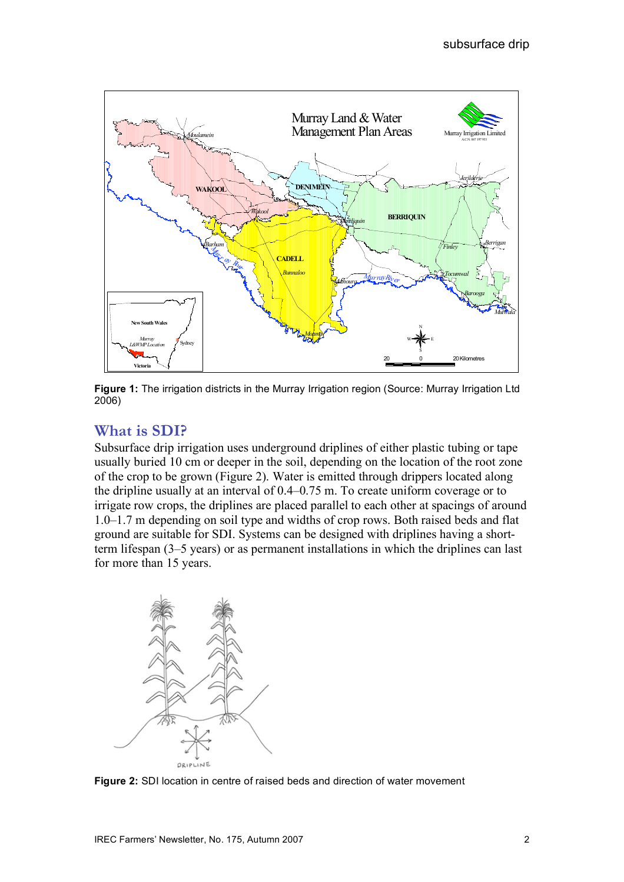

**Figure 1:** The irrigation districts in the Murray Irrigation region (Source: Murray Irrigation Ltd 2006)

# **What is SDI?**

Subsurface drip irrigation uses underground driplines of either plastic tubing or tape usually buried 10 cm or deeper in the soil, depending on the location of the root zone of the crop to be grown (Figure 2). Water is emitted through drippers located along the dripline usually at an interval of 0.4–0.75 m. To create uniform coverage or to irrigate row crops, the driplines are placed parallel to each other at spacings of around 1.0–1.7 m depending on soil type and widths of crop rows. Both raised beds and flat ground are suitable for SDI. Systems can be designed with driplines having a shortterm lifespan (3–5 years) or as permanent installations in which the driplines can last for more than 15 years.



**Figure 2:** SDI location in centre of raised beds and direction of water movement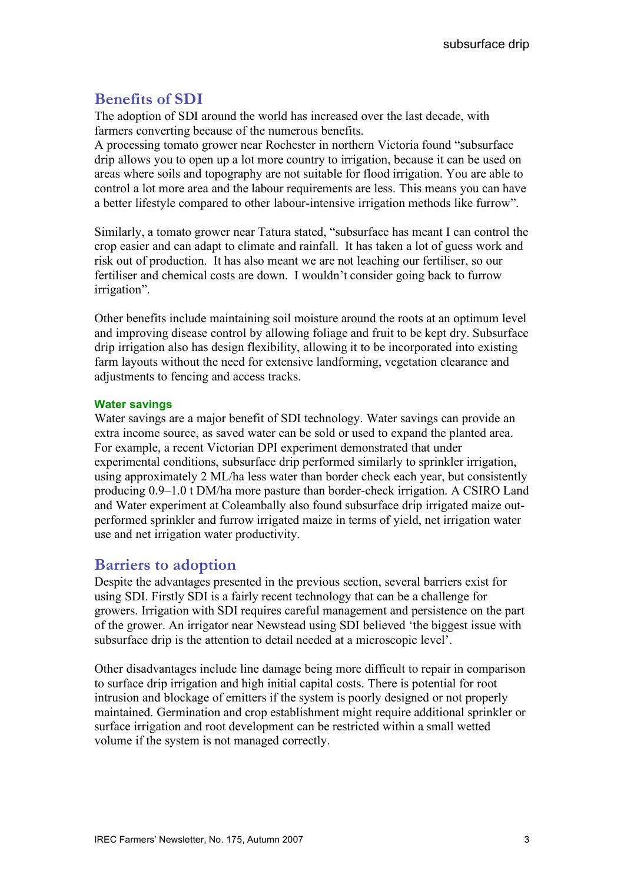# **Benefits of SDI**

The adoption of SDI around the world has increased over the last decade, with farmers converting because of the numerous benefits.

A processing tomato grower near Rochester in northern Victoria found "subsurface drip allows you to open up a lot more country to irrigation, because it can be used on areas where soils and topography are not suitable for flood irrigation. You are able to control a lot more area and the labour requirements are less. This means you can have a better lifestyle compared to other labour-intensive irrigation methods like furrow".

Similarly, a tomato grower near Tatura stated, "subsurface has meant I can control the crop easier and can adapt to climate and rainfall. It has taken a lot of guess work and risk out of production. It has also meant we are not leaching our fertiliser, so our fertiliser and chemical costs are down. I wouldn't consider going back to furrow irrigation".

Other benefits include maintaining soil moisture around the roots at an optimum level and improving disease control by allowing foliage and fruit to be kept dry. Subsurface drip irrigation also has design flexibility, allowing it to be incorporated into existing farm layouts without the need for extensive landforming, vegetation clearance and adjustments to fencing and access tracks.

#### **Water savings**

Water savings are a major benefit of SDI technology. Water savings can provide an extra income source, as saved water can be sold or used to expand the planted area. For example, a recent Victorian DPI experiment demonstrated that under experimental conditions, subsurface drip performed similarly to sprinkler irrigation, using approximately 2 ML/ha less water than border check each year, but consistently producing 0.9–1.0 t DM/ha more pasture than border-check irrigation. A CSIRO Land and Water experiment at Coleambally also found subsurface drip irrigated maize outperformed sprinkler and furrow irrigated maize in terms of yield, net irrigation water use and net irrigation water productivity.

## **Barriers to adoption**

Despite the advantages presented in the previous section, several barriers exist for using SDI. Firstly SDI is a fairly recent technology that can be a challenge for growers. Irrigation with SDI requires careful management and persistence on the part of the grower. An irrigator near Newstead using SDI believed 'the biggest issue with subsurface drip is the attention to detail needed at a microscopic level'.

Other disadvantages include line damage being more difficult to repair in comparison to surface drip irrigation and high initial capital costs. There is potential for root intrusion and blockage of emitters if the system is poorly designed or not properly maintained. Germination and crop establishment might require additional sprinkler or surface irrigation and root development can be restricted within a small wetted volume if the system is not managed correctly.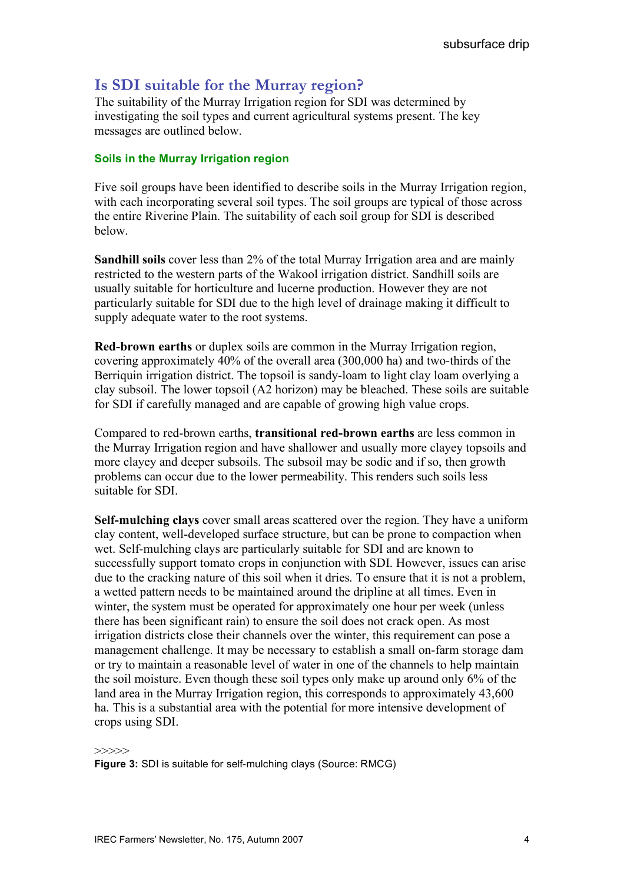# **Is SDI suitable for the Murray region?**

The suitability of the Murray Irrigation region for SDI was determined by investigating the soil types and current agricultural systems present. The key messages are outlined below.

#### **Soils in the Murray Irrigation region**

Five soil groups have been identified to describe soils in the Murray Irrigation region, with each incorporating several soil types. The soil groups are typical of those across the entire Riverine Plain. The suitability of each soil group for SDI is described below.

**Sandhill soils** cover less than 2% of the total Murray Irrigation area and are mainly restricted to the western parts of the Wakool irrigation district. Sandhill soils are usually suitable for horticulture and lucerne production. However they are not particularly suitable for SDI due to the high level of drainage making it difficult to supply adequate water to the root systems.

**Red-brown earths** or duplex soils are common in the Murray Irrigation region, covering approximately 40% of the overall area (300,000 ha) and two-thirds of the Berriquin irrigation district. The topsoil is sandy-loam to light clay loam overlying a clay subsoil. The lower topsoil (A2 horizon) may be bleached. These soils are suitable for SDI if carefully managed and are capable of growing high value crops.

Compared to red-brown earths, **transitional red-brown earths** are less common in the Murray Irrigation region and have shallower and usually more clayey topsoils and more clayey and deeper subsoils. The subsoil may be sodic and if so, then growth problems can occur due to the lower permeability. This renders such soils less suitable for SDI.

**Self-mulching clays** cover small areas scattered over the region. They have a uniform clay content, well-developed surface structure, but can be prone to compaction when wet. Self-mulching clays are particularly suitable for SDI and are known to successfully support tomato crops in conjunction with SDI. However, issues can arise due to the cracking nature of this soil when it dries. To ensure that it is not a problem, a wetted pattern needs to be maintained around the dripline at all times. Even in winter, the system must be operated for approximately one hour per week (unless there has been significant rain) to ensure the soil does not crack open. As most irrigation districts close their channels over the winter, this requirement can pose a management challenge. It may be necessary to establish a small on-farm storage dam or try to maintain a reasonable level of water in one of the channels to help maintain the soil moisture. Even though these soil types only make up around only 6% of the land area in the Murray Irrigation region, this corresponds to approximately 43,600 ha. This is a substantial area with the potential for more intensive development of crops using SDI.

>>>>>

**Figure 3:** SDI is suitable for self-mulching clays (Source: RMCG)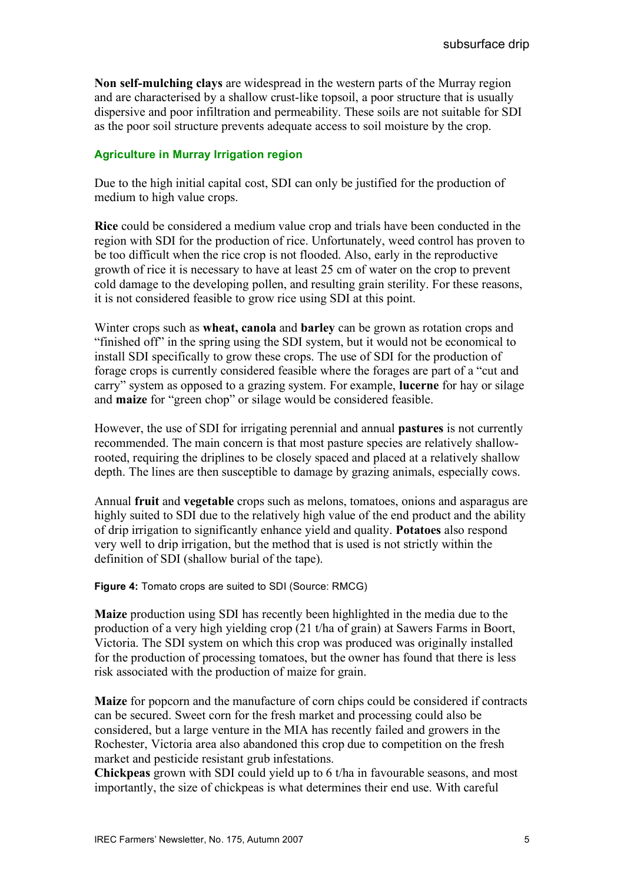**Non self-mulching clays** are widespread in the western parts of the Murray region and are characterised by a shallow crust-like topsoil, a poor structure that is usually dispersive and poor infiltration and permeability. These soils are not suitable for SDI as the poor soil structure prevents adequate access to soil moisture by the crop.

#### **Agriculture in Murray Irrigation region**

Due to the high initial capital cost, SDI can only be justified for the production of medium to high value crops.

**Rice** could be considered a medium value crop and trials have been conducted in the region with SDI for the production of rice. Unfortunately, weed control has proven to be too difficult when the rice crop is not flooded. Also, early in the reproductive growth of rice it is necessary to have at least 25 cm of water on the crop to prevent cold damage to the developing pollen, and resulting grain sterility. For these reasons, it is not considered feasible to grow rice using SDI at this point.

Winter crops such as **wheat, canola** and **barley** can be grown as rotation crops and "finished off" in the spring using the SDI system, but it would not be economical to install SDI specifically to grow these crops. The use of SDI for the production of forage crops is currently considered feasible where the forages are part of a "cut and carry" system as opposed to a grazing system. For example, **lucerne** for hay or silage and **maize** for "green chop" or silage would be considered feasible.

However, the use of SDI for irrigating perennial and annual **pastures** is not currently recommended. The main concern is that most pasture species are relatively shallowrooted, requiring the driplines to be closely spaced and placed at a relatively shallow depth. The lines are then susceptible to damage by grazing animals, especially cows.

Annual **fruit** and **vegetable** crops such as melons, tomatoes, onions and asparagus are highly suited to SDI due to the relatively high value of the end product and the ability of drip irrigation to significantly enhance yield and quality. **Potatoes** also respond very well to drip irrigation, but the method that is used is not strictly within the definition of SDI (shallow burial of the tape).

**Figure 4:** Tomato crops are suited to SDI (Source: RMCG)

**Maize** production using SDI has recently been highlighted in the media due to the production of a very high yielding crop (21 t/ha of grain) at Sawers Farms in Boort, Victoria. The SDI system on which this crop was produced was originally installed for the production of processing tomatoes, but the owner has found that there is less risk associated with the production of maize for grain.

**Maize** for popcorn and the manufacture of corn chips could be considered if contracts can be secured. Sweet corn for the fresh market and processing could also be considered, but a large venture in the MIA has recently failed and growers in the Rochester, Victoria area also abandoned this crop due to competition on the fresh market and pesticide resistant grub infestations.

**Chickpeas** grown with SDI could yield up to 6 t/ha in favourable seasons, and most importantly, the size of chickpeas is what determines their end use. With careful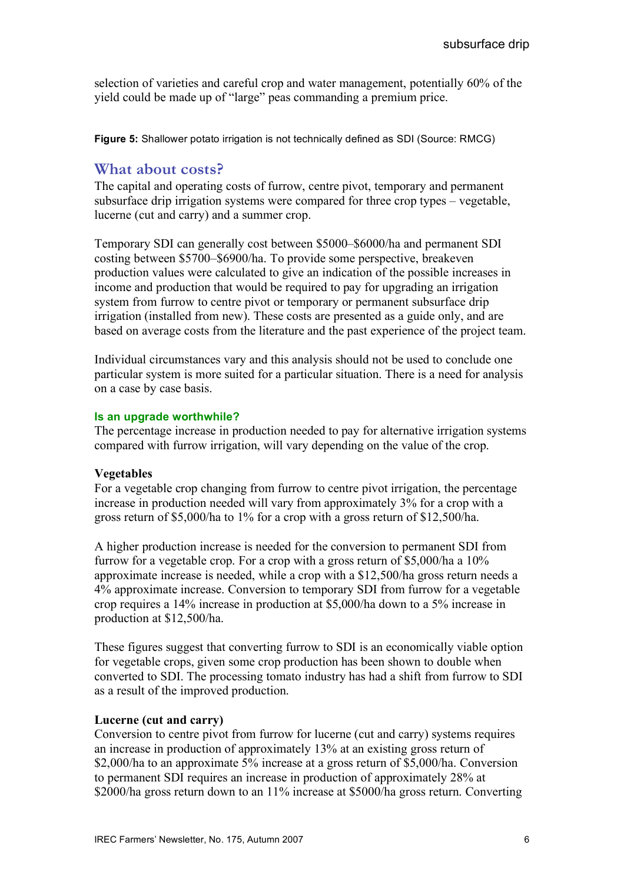selection of varieties and careful crop and water management, potentially 60% of the yield could be made up of "large" peas commanding a premium price.

**Figure 5:** Shallower potato irrigation is not technically defined as SDI (Source: RMCG)

## **What about costs?**

The capital and operating costs of furrow, centre pivot, temporary and permanent subsurface drip irrigation systems were compared for three crop types – vegetable, lucerne (cut and carry) and a summer crop.

Temporary SDI can generally cost between \$5000–\$6000/ha and permanent SDI costing between \$5700–\$6900/ha. To provide some perspective, breakeven production values were calculated to give an indication of the possible increases in income and production that would be required to pay for upgrading an irrigation system from furrow to centre pivot or temporary or permanent subsurface drip irrigation (installed from new). These costs are presented as a guide only, and are based on average costs from the literature and the past experience of the project team.

Individual circumstances vary and this analysis should not be used to conclude one particular system is more suited for a particular situation. There is a need for analysis on a case by case basis.

#### **Is an upgrade worthwhile?**

The percentage increase in production needed to pay for alternative irrigation systems compared with furrow irrigation, will vary depending on the value of the crop.

## **Vegetables**

For a vegetable crop changing from furrow to centre pivot irrigation, the percentage increase in production needed will vary from approximately 3% for a crop with a gross return of \$5,000/ha to 1% for a crop with a gross return of \$12,500/ha.

A higher production increase is needed for the conversion to permanent SDI from furrow for a vegetable crop. For a crop with a gross return of \$5,000/ha a 10% approximate increase is needed, while a crop with a \$12,500/ha gross return needs a 4% approximate increase. Conversion to temporary SDI from furrow for a vegetable crop requires a 14% increase in production at \$5,000/ha down to a 5% increase in production at \$12,500/ha.

These figures suggest that converting furrow to SDI is an economically viable option for vegetable crops, given some crop production has been shown to double when converted to SDI. The processing tomato industry has had a shift from furrow to SDI as a result of the improved production.

## **Lucerne (cut and carry)**

Conversion to centre pivot from furrow for lucerne (cut and carry) systems requires an increase in production of approximately 13% at an existing gross return of \$2,000/ha to an approximate 5% increase at a gross return of \$5,000/ha. Conversion to permanent SDI requires an increase in production of approximately 28% at \$2000/ha gross return down to an 11% increase at \$5000/ha gross return. Converting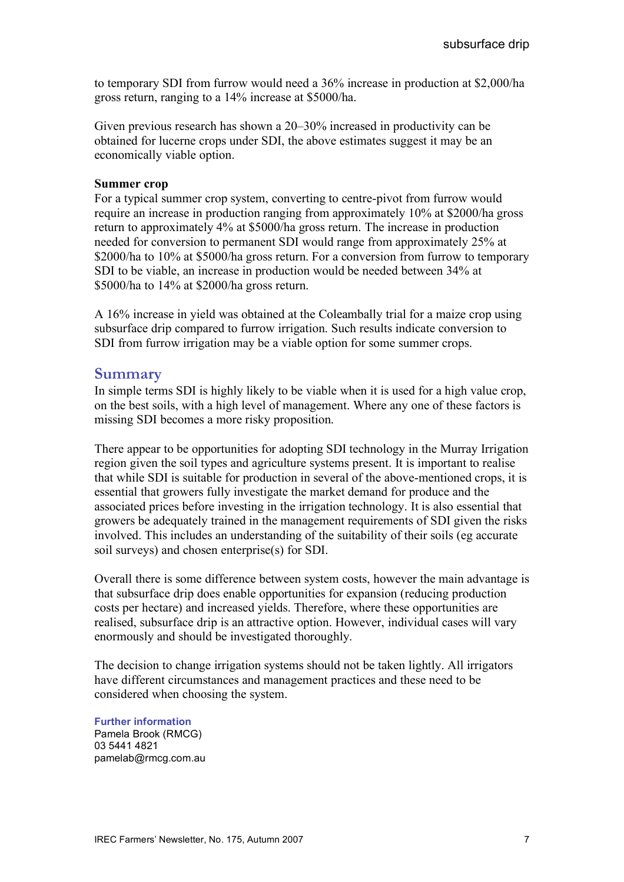to temporary SDI from furrow would need a 36% increase in production at \$2,000/ha gross return, ranging to a 14% increase at \$5000/ha.

Given previous research has shown a 20–30% increased in productivity can be obtained for lucerne crops under SDI, the above estimates suggest it may be an economically viable option.

#### **Summer crop**

For a typical summer crop system, converting to centre-pivot from furrow would require an increase in production ranging from approximately 10% at \$2000/ha gross return to approximately 4% at \$5000/ha gross return. The increase in production needed for conversion to permanent SDI would range from approximately 25% at \$2000/ha to 10% at \$5000/ha gross return. For a conversion from furrow to temporary SDI to be viable, an increase in production would be needed between 34% at \$5000/ha to 14% at \$2000/ha gross return.

A 16% increase in yield was obtained at the Coleambally trial for a maize crop using subsurface drip compared to furrow irrigation. Such results indicate conversion to SDI from furrow irrigation may be a viable option for some summer crops.

#### **Summary**

In simple terms SDI is highly likely to be viable when it is used for a high value crop, on the best soils, with a high level of management. Where any one of these factors is missing SDI becomes a more risky proposition.

There appear to be opportunities for adopting SDI technology in the Murray Irrigation region given the soil types and agriculture systems present. It is important to realise that while SDI is suitable for production in several of the above-mentioned crops, it is essential that growers fully investigate the market demand for produce and the associated prices before investing in the irrigation technology. It is also essential that growers be adequately trained in the management requirements of SDI given the risks involved. This includes an understanding of the suitability of their soils (eg accurate soil surveys) and chosen enterprise(s) for SDI.

Overall there is some difference between system costs, however the main advantage is that subsurface drip does enable opportunities for expansion (reducing production costs per hectare) and increased yields. Therefore, where these opportunities are realised, subsurface drip is an attractive option. However, individual cases will vary enormously and should be investigated thoroughly.

The decision to change irrigation systems should not be taken lightly. All irrigators have different circumstances and management practices and these need to be considered when choosing the system.

**Further information** Pamela Brook (RMCG) 03 5441 4821 pamelab@rmcg.com.au